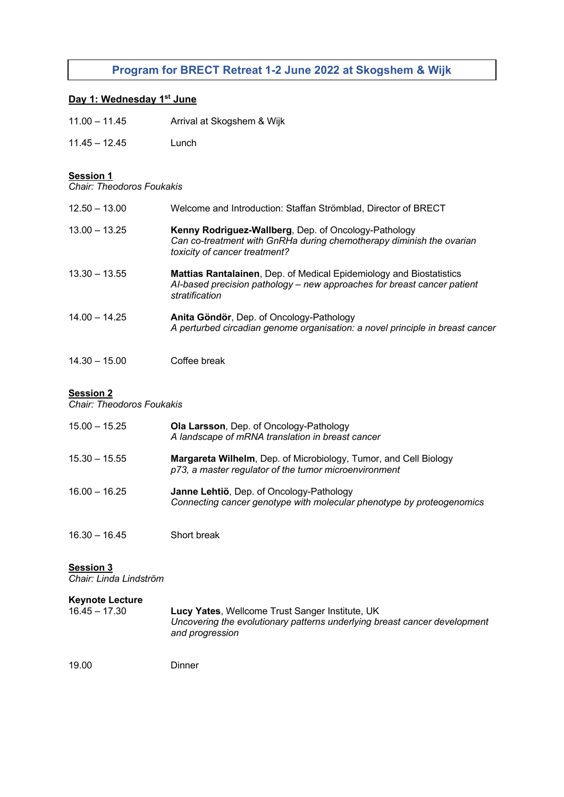# **Program for BRECT Retreat 1-2 June 2022 at Skogshem & Wijk**

## **Day 1: Wednesday 1st June**

| Arrival at Skogshem & Wijk |
|----------------------------|
|                            |

11.45 – 12.45 Lunch

## **Session 1**

*Chair: Theodoros Foukakis*

| $12.50 - 13.00$ | Welcome and Introduction: Staffan Strömblad, Director of BRECT                                                                                                   |
|-----------------|------------------------------------------------------------------------------------------------------------------------------------------------------------------|
| $13.00 - 13.25$ | Kenny Rodriguez-Wallberg, Dep. of Oncology-Pathology<br>Can co-treatment with GnRHa during chemotherapy diminish the ovarian<br>toxicity of cancer treatment?    |
| $13.30 - 13.55$ | Mattias Rantalainen, Dep. of Medical Epidemiology and Biostatistics<br>Al-based precision pathology - new approaches for breast cancer patient<br>stratification |
| $14.00 - 14.25$ | Anita Göndör, Dep. of Oncology-Pathology<br>A perturbed circadian genome organisation: a novel principle in breast cancer                                        |
| $14.30 - 15.00$ | Coffee break                                                                                                                                                     |

### **Session 2**

*Chair: Theodoros Foukakis*

| $15.00 - 15.25$ | <b>Ola Larsson, Dep. of Oncology-Pathology</b><br>A landscape of mRNA translation in breast cancer                        |
|-----------------|---------------------------------------------------------------------------------------------------------------------------|
| $15.30 - 15.55$ | Margareta Wilhelm, Dep. of Microbiology, Tumor, and Cell Biology<br>p73, a master regulator of the tumor microenvironment |
| $16.00 - 16.25$ | Janne Lehtiö, Dep. of Oncology-Pathology<br>Connecting cancer genotype with molecular phenotype by proteogenomics         |

16.30 – 16.45 Short break

#### **Session 3**

*Chair: Linda Lindström*

| <b>Keynote Lecture</b><br>$16.45 - 17.30$ | Lucy Yates, Wellcome Trust Sanger Institute, UK<br>Uncovering the evolutionary patterns underlying breast cancer development<br>and progression |
|-------------------------------------------|-------------------------------------------------------------------------------------------------------------------------------------------------|
| 10.00                                     | Diaman                                                                                                                                          |

19.00 Dinner